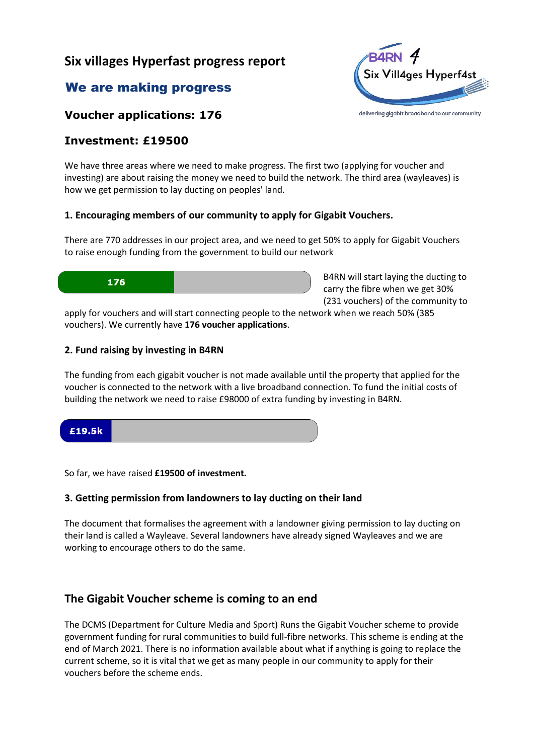# **Six villages Hyperfast progress report**

# We are making progress



### **Voucher applications: 176**

## **Investment: £19500**

We have three areas where we need to make progress. The first two (applying for voucher and investing) are about raising the money we need to build the network. The third area (wayleaves) is how we get permission to lay ducting on peoples' land.

#### **1. Encouraging members of our community to apply for Gigabit Vouchers.**

There are 770 addresses in our project area, and we need to get 50% to apply for Gigabit Vouchers to raise enough funding from the government to build our network



B4RN will start laying the ducting to carry the fibre when we get 30% (231 vouchers) of the community to

apply for vouchers and will start connecting people to the network when we reach 50% (385 vouchers). We currently have **176 voucher applications**.

#### **2. Fund raising by investing in B4RN**

The funding from each gigabit voucher is not made available until the property that applied for the voucher is connected to the network with a live broadband connection. To fund the initial costs of building the network we need to raise £98000 of extra funding by investing in B4RN.



So far, we have raised **£19500 of investment.**

#### **3. Getting permission from landowners to lay ducting on their land**

The document that formalises the agreement with a landowner giving permission to lay ducting on their land is called a Wayleave. Several landowners have already signed Wayleaves and we are working to encourage others to do the same.

# **The Gigabit Voucher scheme is coming to an end**

The DCMS (Department for Culture Media and Sport) Runs the Gigabit Voucher scheme to provide government funding for rural communities to build full-fibre networks. This scheme is ending at the end of March 2021. There is no information available about what if anything is going to replace the current scheme, so it is vital that we get as many people in our community to apply for their vouchers before the scheme ends.